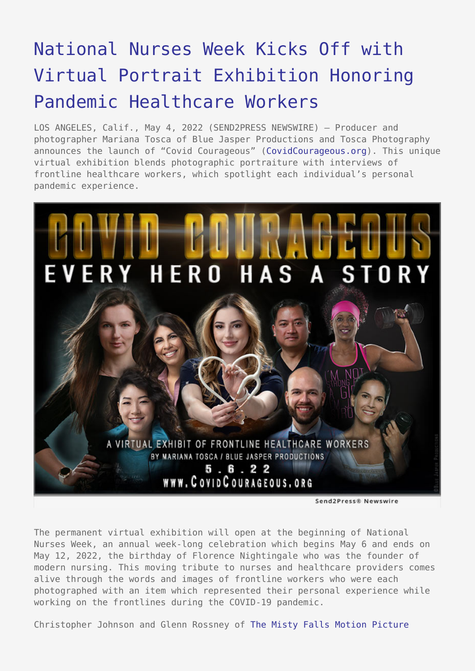## [National Nurses Week Kicks Off with](https://www.send2press.com/wire/national-nurses-week-kicks-off-with-virtual-portrait-exhibition-honoring-pandemic-healthcare-workers/) [Virtual Portrait Exhibition Honoring](https://www.send2press.com/wire/national-nurses-week-kicks-off-with-virtual-portrait-exhibition-honoring-pandemic-healthcare-workers/) [Pandemic Healthcare Workers](https://www.send2press.com/wire/national-nurses-week-kicks-off-with-virtual-portrait-exhibition-honoring-pandemic-healthcare-workers/)

LOS ANGELES, Calif., May 4, 2022 (SEND2PRESS NEWSWIRE) — Producer and photographer Mariana Tosca of Blue Jasper Productions and Tosca Photography announces the launch of "Covid Courageous" ([CovidCourageous.org\)](http://www.covidcourageous.org). This unique virtual exhibition blends photographic portraiture with interviews of frontline healthcare workers, which spotlight each individual's personal pandemic experience.



The permanent virtual exhibition will open at the beginning of National Nurses Week, an annual week-long celebration which begins May 6 and ends on May 12, 2022, the birthday of Florence Nightingale who was the founder of modern nursing. This moving tribute to nurses and healthcare providers comes alive through the words and images of frontline workers who were each photographed with an item which represented their personal experience while working on the frontlines during the COVID-19 pandemic.

Christopher Johnson and Glenn Rossney of [The Misty Falls Motion Picture](https://www.journeytoroyal.com/)